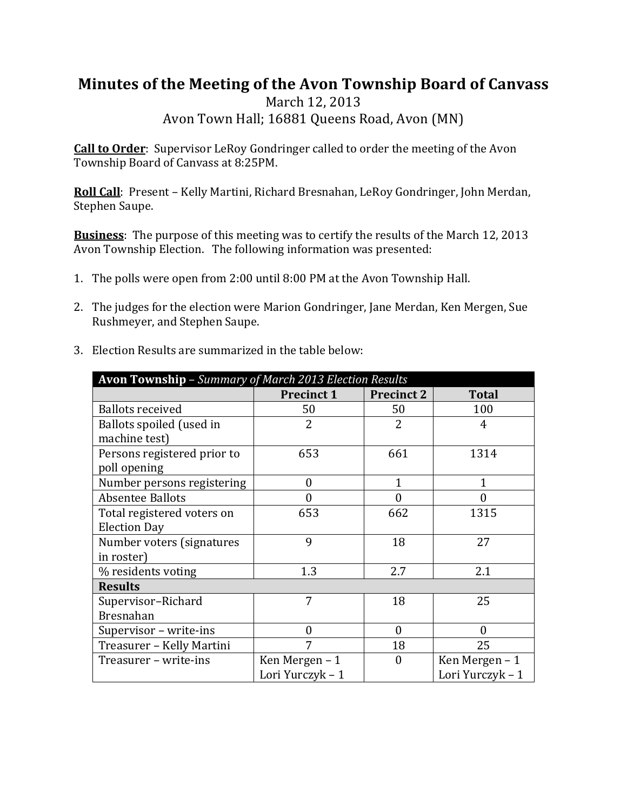## **Minutes of the Meeting of the Avon Township Board of Canvass**

March 12, 2013 Avon Town Hall; 16881 Queens Road, Avon (MN)

Call to Order: Supervisor LeRoy Gondringer called to order the meeting of the Avon Township Board of Canvass at 8:25PM.

**Roll Call**: Present – Kelly Martini, Richard Bresnahan, LeRoy Gondringer, John Merdan, Stephen Saupe.

**Business**: The purpose of this meeting was to certify the results of the March 12, 2013 Avon Township Election. The following information was presented:

- 1. The polls were open from 2:00 until 8:00 PM at the Avon Township Hall.
- 2. The judges for the election were Marion Gondringer, Jane Merdan, Ken Mergen, Sue Rushmeyer, and Stephen Saupe.
- 3. Election Results are summarized in the table below:

| Avon Township - Summary of March 2013 Election Results |                   |                   |                  |
|--------------------------------------------------------|-------------------|-------------------|------------------|
|                                                        | <b>Precinct 1</b> | <b>Precinct 2</b> | <b>Total</b>     |
| <b>Ballots received</b>                                | 50                | 50                | 100              |
| Ballots spoiled (used in                               | $\overline{2}$    | $\overline{2}$    | 4                |
| machine test)                                          |                   |                   |                  |
| Persons registered prior to                            | 653               | 661               | 1314             |
| poll opening                                           |                   |                   |                  |
| Number persons registering                             | $\boldsymbol{0}$  | 1                 | 1                |
| <b>Absentee Ballots</b>                                | $\overline{0}$    | 0                 | 0                |
| Total registered voters on                             | 653               | 662               | 1315             |
| <b>Election Day</b>                                    |                   |                   |                  |
| Number voters (signatures                              | 9                 | 18                | 27               |
| in roster)                                             |                   |                   |                  |
| % residents voting                                     | 1.3               | 2.7               | 2.1              |
| <b>Results</b>                                         |                   |                   |                  |
| Supervisor-Richard                                     | 7                 | 18                | 25               |
| <b>Bresnahan</b>                                       |                   |                   |                  |
| Supervisor - write-ins                                 | $\theta$          | $\theta$          | $\theta$         |
| Treasurer - Kelly Martini                              | 7                 | 18                | 25               |
| Treasurer - write-ins                                  | Ken Mergen - 1    | $\overline{0}$    | Ken Mergen - 1   |
|                                                        | Lori Yurczyk - 1  |                   | Lori Yurczyk - 1 |